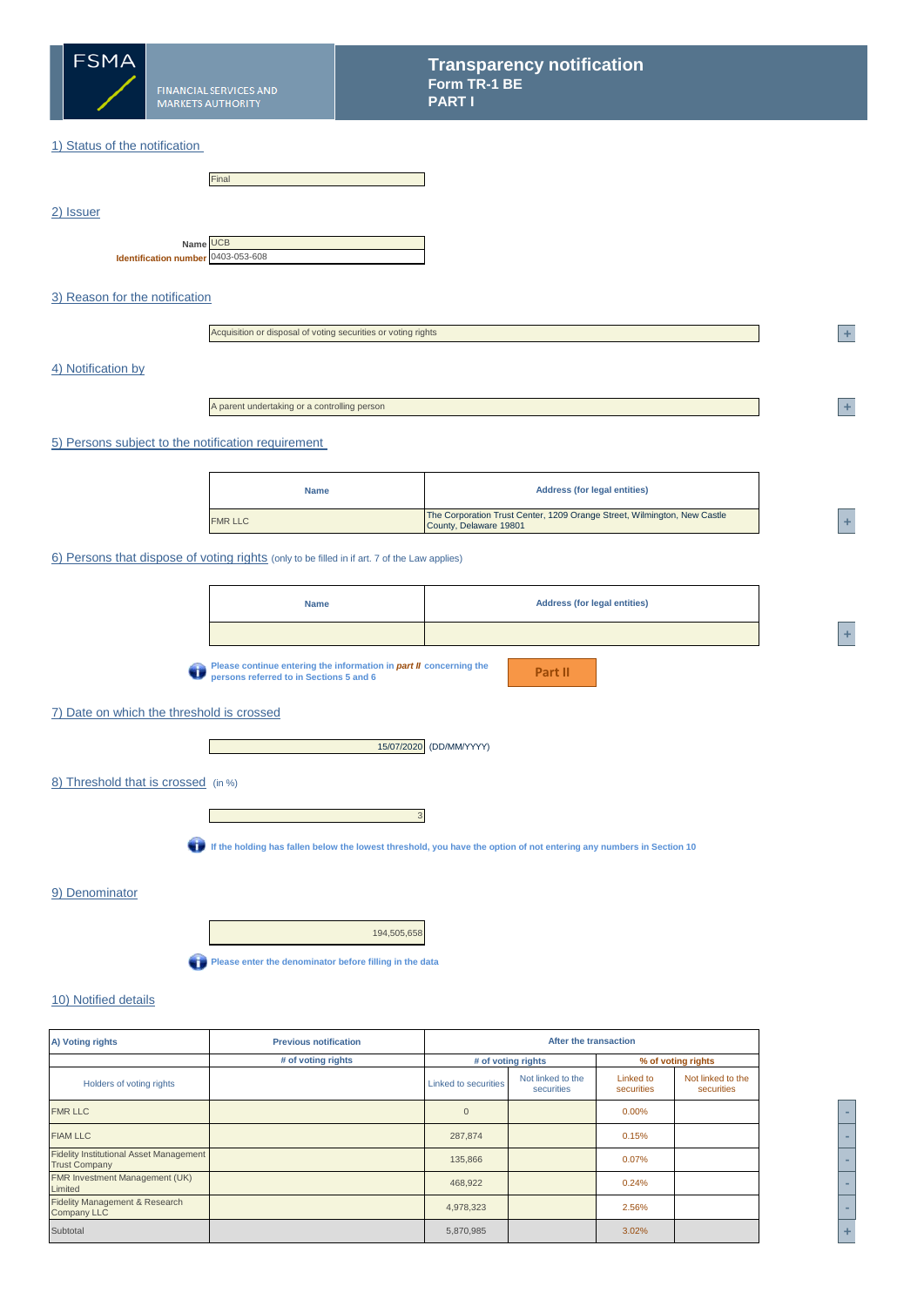

### 1) Status of the notification

|           |                                                | Final |
|-----------|------------------------------------------------|-------|
| 2) Issuer |                                                |       |
|           | Name UCB<br>Identification number 0403-053-608 |       |

## 3) Reason for the notification

| Acquisition or disposal of voting securities or voting rights |
|---------------------------------------------------------------|
|---------------------------------------------------------------|

### 4) Notification by

A parent undertaking or a controlling person

#### 5) Persons subject to the notification requirement

| <b>Name</b>    | <b>Address (for legal entities)</b>                                                                |  |
|----------------|----------------------------------------------------------------------------------------------------|--|
| <b>FMR LLC</b> | The Corporation Trust Center, 1209 Orange Street, Wilmington, New Castle<br>County, Delaware 19801 |  |

#### 6) Persons that dispose of voting rights (only to be filled in if art. 7 of the Law applies)

**Please continue entering the information in** *part II* **concerning the persons referred to in Sections 5 and 6**

**Part II**

## 7) Date on which the threshold is crossed



### 8) Threshold that is crossed (in %)



**If the holding has fallen below the lowest threshold, you have the option of not entering any numbers in Section 10**

#### 9) Denominator

194,505,658 **Please enter the denominator before filling in the data** 

# 10) Notified details

| A) Voting rights                                                       | <b>Previous notification</b> | After the transaction |                                 |                         |                                 |
|------------------------------------------------------------------------|------------------------------|-----------------------|---------------------------------|-------------------------|---------------------------------|
|                                                                        | # of voting rights           |                       | # of voting rights              |                         | % of voting rights              |
| Holders of voting rights                                               |                              | Linked to securities  | Not linked to the<br>securities | Linked to<br>securities | Not linked to the<br>securities |
| <b>FMR LLC</b>                                                         |                              | $\overline{0}$        |                                 | $0.00\%$                |                                 |
| <b>FIAM LLC</b>                                                        |                              | 287,874               |                                 | 0.15%                   |                                 |
| <b>Fidelity Institutional Asset Management</b><br><b>Trust Company</b> |                              | 135,866               |                                 | 0.07%                   |                                 |
| FMR Investment Management (UK)<br>Limited                              |                              | 468,922               |                                 | 0.24%                   |                                 |
| Fidelity Management & Research<br><b>Company LLC</b>                   |                              | 4,978,323             |                                 | 2.56%                   |                                 |
| Subtotal                                                               |                              | 5,870,985             |                                 | 3.02%                   |                                 |

**<sup>2</sup> +** 

**<sup>2</sup> +** 

**<sup>A</sup> +**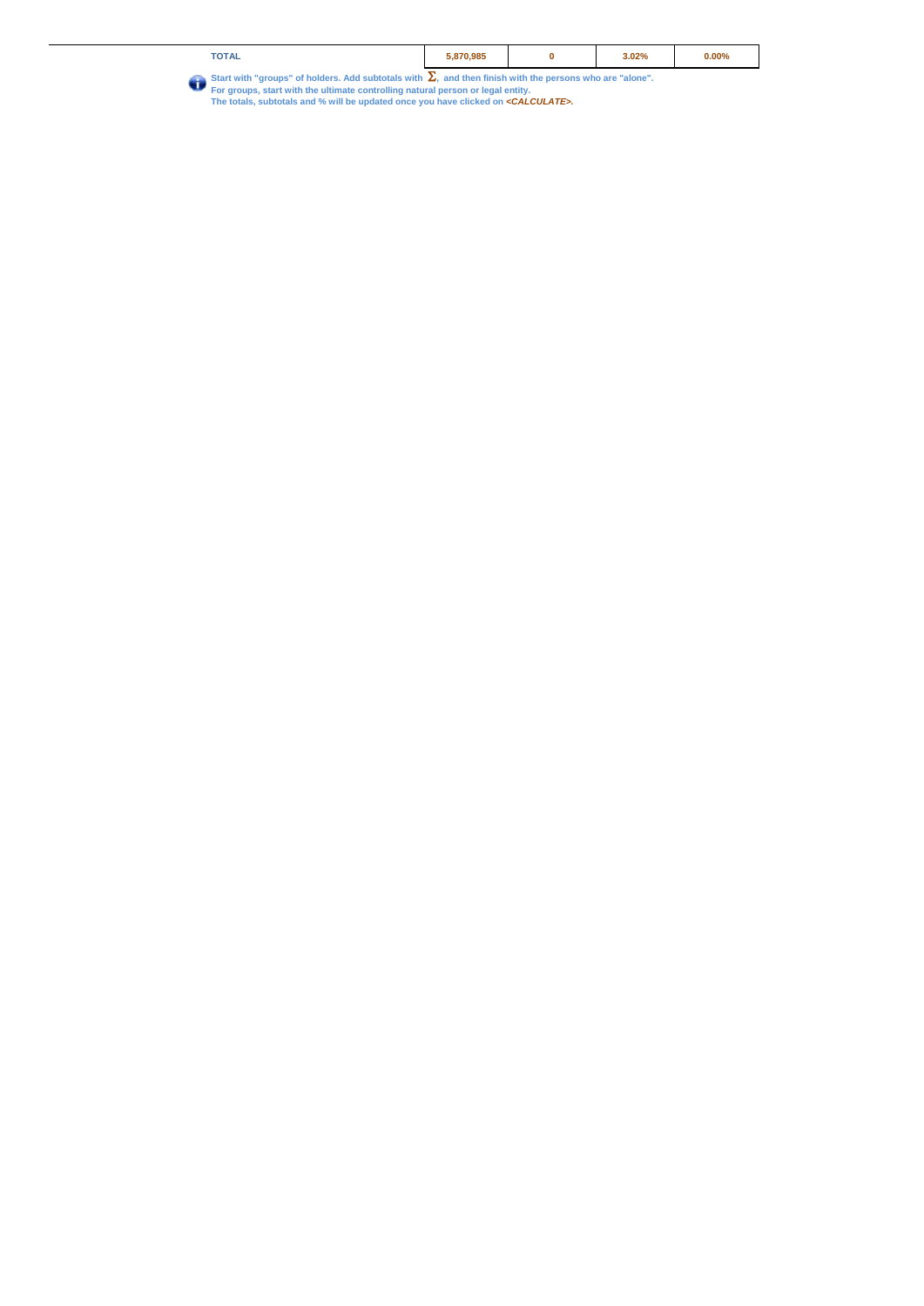| <b>TOTAL</b>                                                                                           | .870.985 | 3.02% | $0.00\%$ |
|--------------------------------------------------------------------------------------------------------|----------|-------|----------|
| Charles uith "grassna" of bolders, Add oubtatels with and then finish with the nersons who are "slane" |          |       |          |

Start with "groups" of holders. Add subtotals with  $\sum_{n}$  and then finish with the persons who are "alone".<br>For groups, start with the ultimate controlling natural person or legal entity.<br>The totals, subtotals and % will  $\bullet$